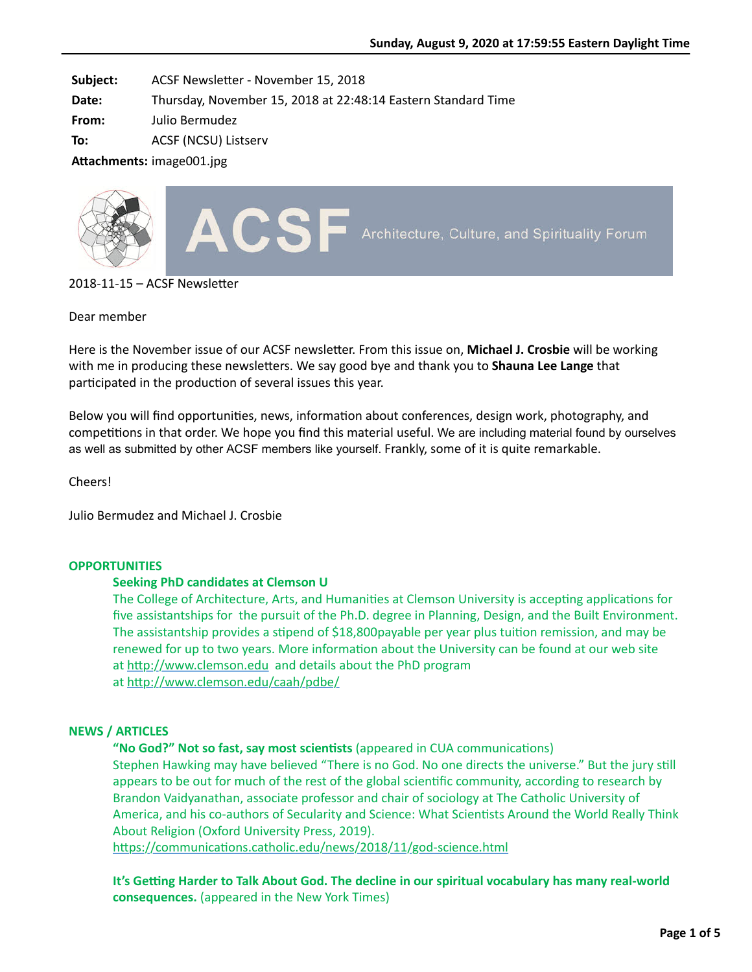**Subject:** ACSF Newsletter - November 15, 2018

**Date:** Thursday, November 15, 2018 at 22:48:14 Eastern Standard Time

**From:** Julio Bermudez

**To:** ACSF (NCSU) Listserv

**Attachments:** image001.jpg



 $2018 - 11 - 15 - ACSF$  Newsletter

# Dear member

Here is the November issue of our ACSF newsletter. From this issue on, Michael J. Crosbie will be working with me in producing these newsletters. We say good bye and thank you to **Shauna Lee Lange** that participated in the production of several issues this year.

Below you will find opportunities, news, information about conferences, design work, photography, and competitions in that order. We hope you find this material useful. We are including material found by ourselves as well as submitted by other ACSF members like yourself. Frankly, some of it is quite remarkable.

Cheers!

Julio Bermudez and Michael J. Crosbie

# **OPPORTUNITIES**

# **Seeking PhD candidates at Clemson U**

The College of Architecture, Arts, and Humanities at Clemson University is accepting applications for five assistantships for the pursuit of the Ph.D. degree in Planning, Design, and the Built Environment. The assistantship provides a stipend of \$18,800payable per year plus tuition remission, and may be renewed for up to two years. More information about the University can be found at our web site at http://www.clemson.edu and details about the PhD program at http://www.clemson.edu/caah/pdbe/

# **NEWS / ARTICLES**

"No God?" Not so fast, say most scientists (appeared in CUA communications)

Stephen Hawking may have believed "There is no God. No one directs the universe." But the jury still appears to be out for much of the rest of the global scientific community, according to research by Brandon Vaidyanathan, associate professor and chair of sociology at The Catholic University of America, and his co-authors of Secularity and Science: What Scientists Around the World Really Think About Religion (Oxford University Press, 2019).

https://communications.catholic.edu/news/2018/11/god-science.html

It's Getting Harder to Talk About God. The decline in our spiritual vocabulary has many real-world **consequences.** (appeared in the New York Times)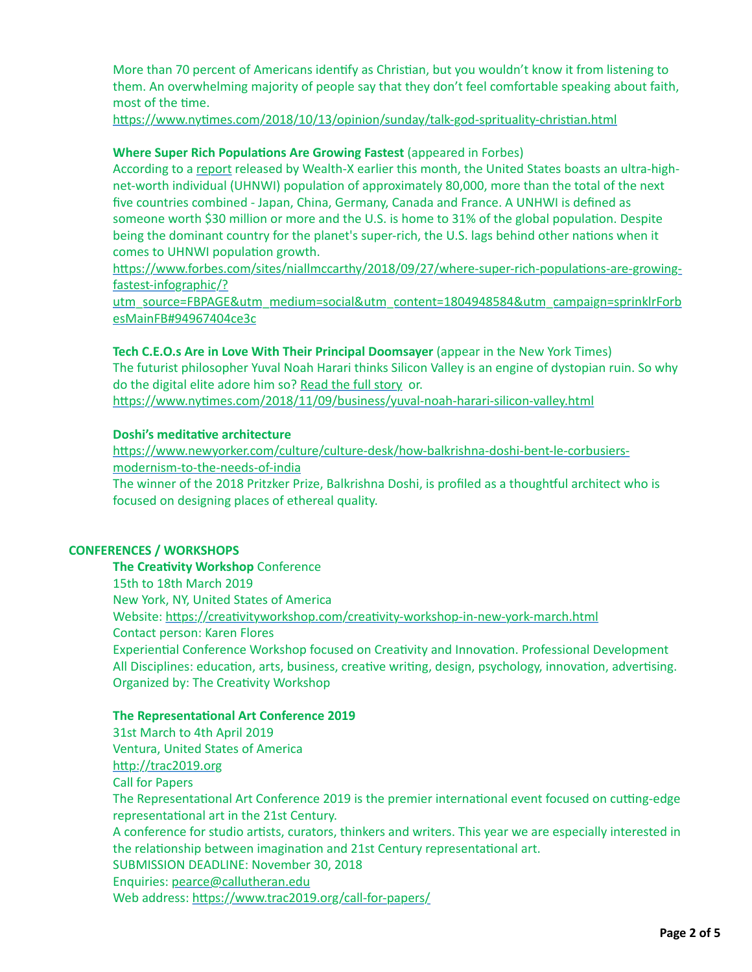More than 70 percent of Americans identify as Christian, but you wouldn't know it from listening to them. An overwhelming majority of people say that they don't feel comfortable speaking about faith, most of the time.

https://www.nytimes.com/2018/10/13/opinion/sunday/talk-god-sprituality-christian.html

# **Where Super Rich Populations Are Growing Fastest** (appeared in Forbes)

According to a [report](https://www.wealthx.com/report/world-ultra-wealth-report-2018/) released by Wealth-X earlier this month, the United States boasts an ultra-highnet-worth individual (UHNWI) population of approximately 80,000, more than the total of the next five countries combined - Japan, China, Germany, Canada and France. A UNHWI is defined as someone worth \$30 million or more and the U.S. is home to 31% of the global population. Despite being the dominant country for the planet's super-rich, the U.S. lags behind other nations when it comes to UHNWI population growth.

https://www.forbes.com/sites/niallmccarthy/2018/09/27/where-super-rich-populations-are-growingfastest-infographic/?

utm\_source=FBPAGE&utm\_medium=social&utm\_content=1804948584&utm\_campaign=sprinklrForb esMainFB#94967404ce3c

## **Tech C.E.O.s Are in Love With Their Principal Doomsayer** (appear in the New York Times)

The futurist philosopher Yuval Noah Harari thinks Silicon Valley is an engine of dystopian ruin. So why do the digital elite adore him so? [Read the full story](https://apple.news/ANiqeaTO6ROuK4MgFfnC4ZQ) or.

https://www.nytimes.com/2018/11/09/business/yuval-noah-harari-silicon-valley.html

# **Doshi's meditative architecture**

https://www.newyorker.com/culture/culture-desk/how-balkrishna-doshi-bent-le-corbusiersmodernism-to-the-needs-of-india

The winner of the 2018 Pritzker Prize, Balkrishna Doshi, is profiled as a thoughtful architect who is focused on designing places of ethereal quality.

#### **CONFERENCES / WORKSHOPS**

**The Creativity Workshop** Conference 15th to 18th March 2019 New York, NY, United States of America Website: https://creativityworkshop.com/creativity-workshop-in-new-york-march.html Contact person: Karen Flores Experiential Conference Workshop focused on Creativity and Innovation. Professional Development All Disciplines: education, arts, business, creative writing, design, psychology, innovation, advertising. Organized by: The Creativity Workshop

#### **The Representational Art Conference 2019**

31st March to 4th April 2019 Ventura, United States of America http://trac2019.org Call for Papers The Representational Art Conference 2019 is the premier international event focused on cutting-edge representational art in the 21st Century. A conference for studio artists, curators, thinkers and writers. This year we are especially interested in the relationship between imagination and 21st Century representational art. SUBMISSION DEADLINE: November 30, 2018 Enquiries: [pearce@callutheran.edu](mailto:pearce@callutheran.edu) Web address: https://www.trac2019.org/call-for-papers/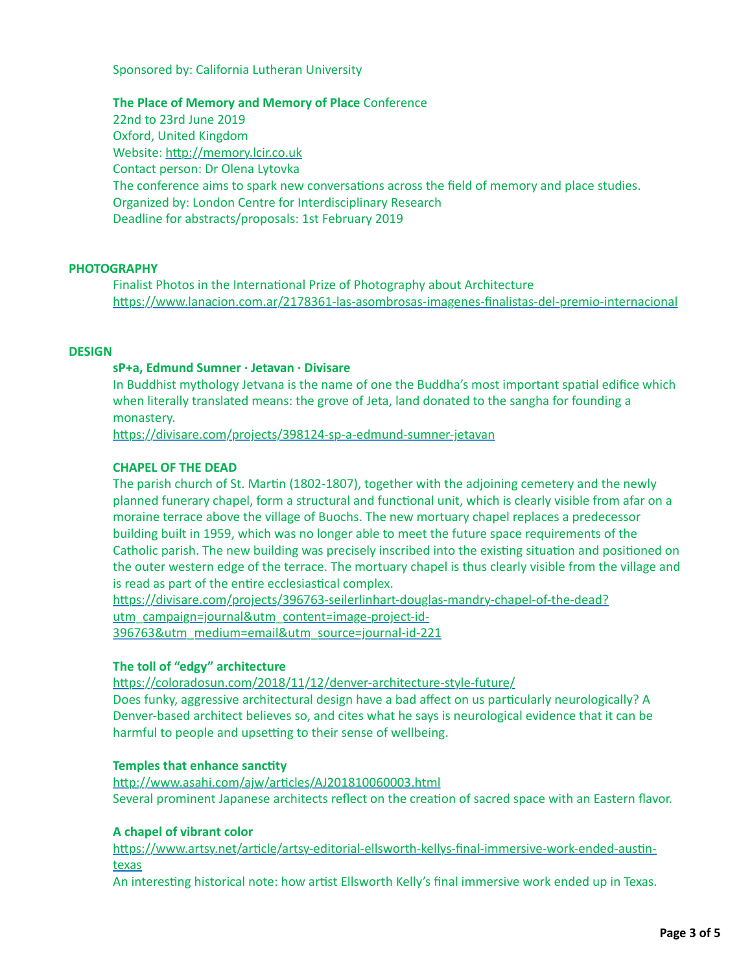Sponsored by: California Lutheran University

**The Place of Memory and Memory of Place** Conference

22nd to 23rd June 2019 Oxford, United Kingdom Website: http://memory.lcir.co.uk Contact person: Dr Olena Lytovka The conference aims to spark new conversations across the field of memory and place studies. Organized by: London Centre for Interdisciplinary Research Deadline for abstracts/proposals: 1st February 2019

# **PHOTOGRAPHY**

Finalist Photos in the International Prize of Photography about Architecture https://www.lanacion.com.ar/2178361-las-asombrosas-imagenes-finalistas-del-premio-internacional

### **DESIGN**

#### **sP+a, Edmund Sumner · Jetavan · Divisare**

In Buddhist mythology Jetvana is the name of one the Buddha's most important spatial edifice which when literally translated means: the grove of Jeta, land donated to the sangha for founding a monastery.

https://divisare.com/projects/398124-sp-a-edmund-sumner-jetavan

## **CHAPEL OF THE DEAD**

The parish church of St. Martin (1802-1807), together with the adjoining cemetery and the newly planned funerary chapel, form a structural and functional unit, which is clearly visible from afar on a moraine terrace above the village of Buochs. The new mortuary chapel replaces a predecessor building built in 1959, which was no longer able to meet the future space requirements of the Catholic parish. The new building was precisely inscribed into the existing situation and positioned on the outer western edge of the terrace. The mortuary chapel is thus clearly visible from the village and is read as part of the entire ecclesiastical complex.

https://divisare.com/projects/396763-seilerlinhart-douglas-mandry-chapel-of-the-dead? utm\_campaign=journal&utm\_content=image-project-id-396763&utm\_medium=email&utm\_source=journal-id-221

# **The toll of "edgy" architecture**

https://coloradosun.com/2018/11/12/denver-architecture-style-future/ Does funky, aggressive architectural design have a bad affect on us particularly neurologically? A Denver-based architect believes so, and cites what he says is neurological evidence that it can be harmful to people and upsetting to their sense of wellbeing.

#### **Temples that enhance sanctity**

http://www.asahi.com/ajw/articles/AJ201810060003.html Several prominent Japanese architects reflect on the creation of sacred space with an Eastern flavor.

### **A chapel of vibrant color**

https://www.artsy.net/article/artsy-editorial-ellsworth-kellys-final-immersive-work-ended-austintexas

An interesting historical note: how artist Ellsworth Kelly's final immersive work ended up in Texas.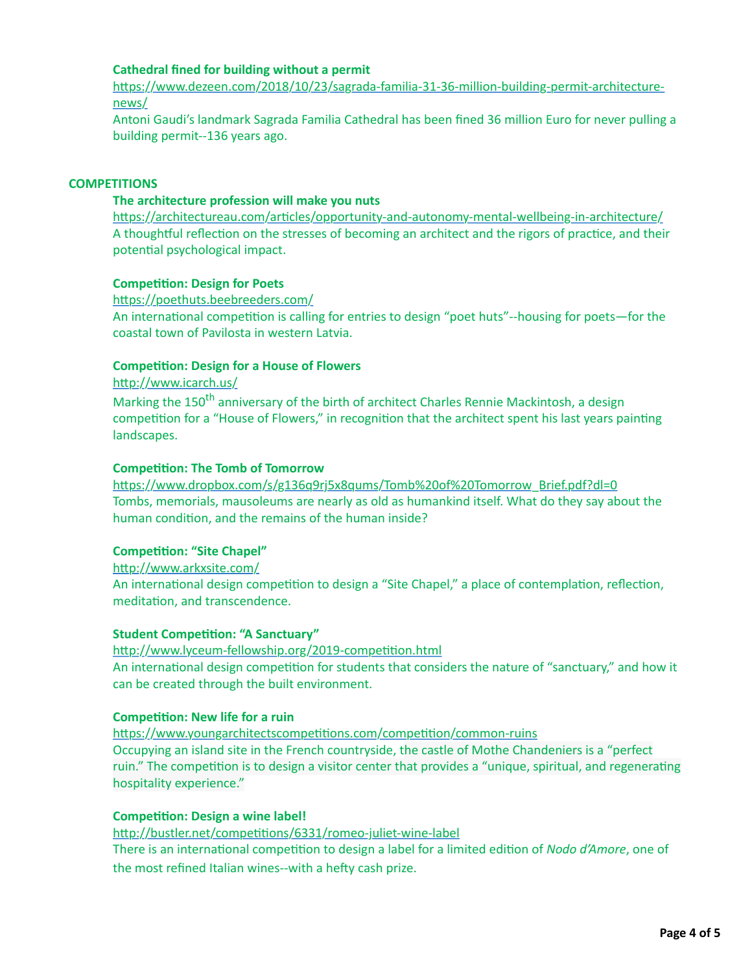# **Cathedral fined for building without a permit**

https://www.dezeen.com/2018/10/23/sagrada-familia-31-36-million-building-permit-architecturenews/

Antoni Gaudi's landmark Sagrada Familia Cathedral has been fined 36 million Euro for never pulling a building permit--136 years ago.

## **COMPETITIONS**

## **The architecture profession will make you nuts**

https://architectureau.com/articles/opportunity-and-autonomy-mental-wellbeing-in-architecture/ A thoughtful reflection on the stresses of becoming an architect and the rigors of practice, and their potential psychological impact.

## **Competition: Design for Poets**

https://poethuts.beebreeders.com/

An international competition is calling for entries to design "poet huts"--housing for poets-for the coastal town of Pavilosta in western Latvia.

## **Competition: Design for a House of Flowers**

http://www.icarch.us/

Marking the 150<sup>th</sup> anniversary of the birth of architect Charles Rennie Mackintosh, a design competition for a "House of Flowers," in recognition that the architect spent his last years painting landscapes.

## **Competition: The Tomb of Tomorrow**

https://www.dropbox.com/s/g136q9rj5x8qums/Tomb%20of%20Tomorrow\_Brief.pdf?dl=0 Tombs, memorials, mausoleums are nearly as old as humankind itself. What do they say about the human condition, and the remains of the human inside?

# **Competition: "Site Chapel"**

http://www.arkxsite.com/ An international design competition to design a "Site Chapel," a place of contemplation, reflection, meditation, and transcendence.

## **Student Competition: "A Sanctuary"**

http://www.lyceum-fellowship.org/2019-competition.html An international design competition for students that considers the nature of "sanctuary," and how it can be created through the built environment.

#### **Competition: New life for a ruin**

https://www.youngarchitectscompetitions.com/competition/common-ruins Occupying an island site in the French countryside, the castle of Mothe Chandeniers is a "perfect ruin." The competition is to design a visitor center that provides a "unique, spiritual, and regenerating hospitality experience."

# **Competition: Design a wine label!**

http://bustler.net/competitions/6331/romeo-juliet-wine-label There is an international competition to design a label for a limited edition of *Nodo d'Amore*, one of the most refined Italian wines--with a hefty cash prize.